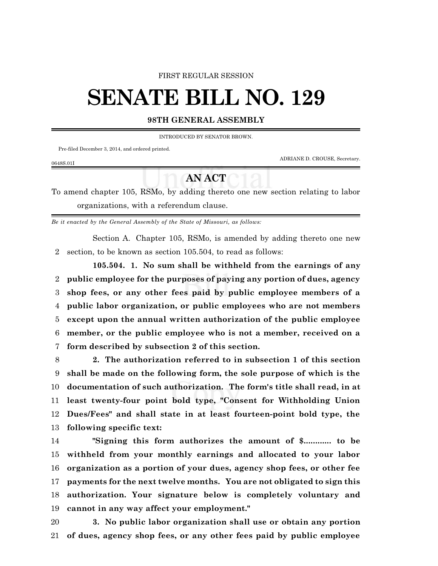#### FIRST REGULAR SESSION

# **SENATE BILL NO. 129**

### **98TH GENERAL ASSEMBLY**

INTRODUCED BY SENATOR BROWN.

Pre-filed December 3, 2014, and ordered printed.

ADRIANE D. CROUSE, Secretary.

#### 0648S.01I

## **AN ACT**

To amend chapter 105, RSMo, by adding thereto one new section relating to labor organizations, with a referendum clause.

*Be it enacted by the General Assembly of the State of Missouri, as follows:*

Section A. Chapter 105, RSMo, is amended by adding thereto one new section, to be known as section 105.504, to read as follows:

**105.504. 1. No sum shall be withheld from the earnings of any public employee for the purposes of paying any portion of dues, agency shop fees, or any other fees paid by public employee members of a public labor organization, or public employees who are not members except upon the annual written authorization of the public employee member, or the public employee who is not a member, received on a form described by subsection 2 of this section.**

 **2. The authorization referred to in subsection 1 of this section shall be made on the following form, the sole purpose of which is the documentation of such authorization. The form's title shall read, in at least twenty-four point bold type, "Consent for Withholding Union Dues/Fees" and shall state in at least fourteen-point bold type, the following specific text:**

 **"Signing this form authorizes the amount of \$............ to be withheld from your monthly earnings and allocated to your labor organization as a portion of your dues, agency shop fees, or other fee payments for the next twelve months. You are not obligated to sign this authorization. Your signature below is completely voluntary and cannot in any way affect your employment."**

 **3. No public labor organization shall use or obtain any portion of dues, agency shop fees, or any other fees paid by public employee**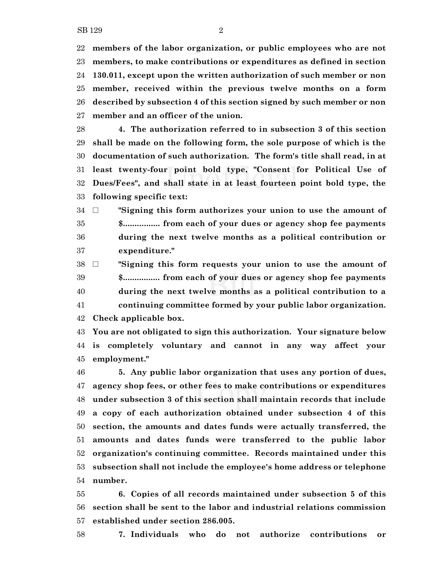**members of the labor organization, or public employees who are not members, to make contributions or expenditures as defined in section 130.011, except upon the written authorization of such member or non member, received within the previous twelve months on a form described by subsection 4 of this section signed by such member or non member and an officer of the union.**

 **4. The authorization referred to in subsection 3 of this section shall be made on the following form, the sole purpose of which is the documentation of such authorization. The form's title shall read, in at least twenty-four point bold type, "Consent for Political Use of Dues/Fees", and shall state in at least fourteen point bold type, the following specific text:**

 ~ **"Signing this form authorizes your union to use the amount of \$................ from each of your dues or agency shop fee payments during the next twelve months as a political contribution or expenditure."**

 ~ **"Signing this form requests your union to use the amount of \$................ from each of your dues or agency shop fee payments during the next twelve months as a political contribution to a continuing committee formed by your public labor organization. Check applicable box.**

 **You are not obligated to sign this authorization. Your signature below is completely voluntary and cannot in any way affect your employment."**

 **5. Any public labor organization that uses any portion of dues, agency shop fees, or other fees to make contributions or expenditures under subsection 3 of this section shall maintain records that include a copy of each authorization obtained under subsection 4 of this section, the amounts and dates funds were actually transferred, the amounts and dates funds were transferred to the public labor organization's continuing committee. Records maintained under this subsection shall not include the employee's home address or telephone number.**

 **6. Copies of all records maintained under subsection 5 of this section shall be sent to the labor and industrial relations commission established under section 286.005.**

**7. Individuals who do not authorize contributions or**